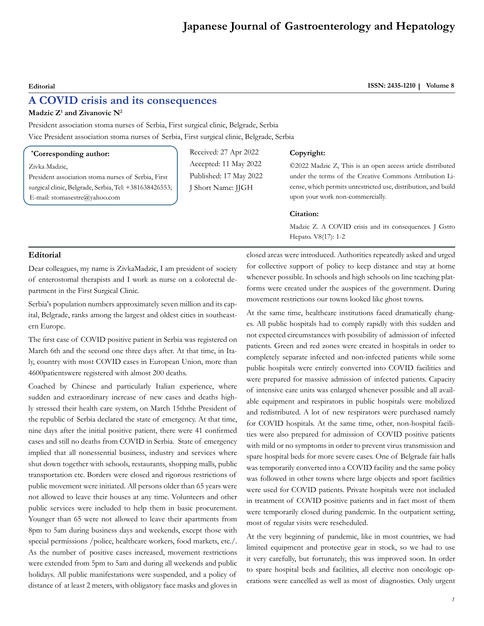# **Japanese Journal of Gastroenterology and Hepatology**

## **A COVID crisis and its consequences**

#### **Madzic Z1 and Zivanovic N2**

President association stoma nurses of Serbia, First surgical clinic, Belgrade, Serbia Vice President association stoma nurses of Serbia, First surgical clinic, Belgrade, Serbia

#### **\* Corresponding author:**

Zivka Madzic,

President association stoma nurses of Serbia, First surgical clinic, Belgrade, Serbia, Tel: +381638426553; E-mail: stomasestre@yahoo.com

Received: 27 Apr 2022 Accepted: 11 May 2022 Published: 17 May 2022 J Short Name: JJGH

#### **Copyright:**

©2022 Madzic Z, This is an open access article distributed under the terms of the Creative Commons Attribution License, which permits unrestricted use, distribution, and build upon your work non-commercially.

#### **Citation:**

Madzic Z. A COVID crisis and its consequences. J Gstro Hepato. V8(17): 1-2

### **Editorial**

Dear colleagues, my name is ZivkaMadzic, I am president of society of enterostomal therapists and I work as nurse on a colorectal department in the First Surgical Clinic.

Serbia's population numbers approximately seven million and its capital, Belgrade, ranks among the largest and oldest citiеs in southeastern Europe.

The first case of COVID positive patient in Serbia was registered on March 6th and the second one three days after. At that time, in Italy, country with most COVID cases in European Union, more than 4600patientswere registered with almost 200 deaths.

Coached by Chinese and particularly Italian experience, where sudden and extraordinary increase of new cases and deaths highly stressed their health care system, on March 15ththe President of the republic of Serbia declared the state of emergency. At that time, nine days after the initial positive patient, there were 41 confirmed cases and still no deaths from COVID in Serbia. State of emergency implied that all nonessential business, industry and services where shut down together with schools, restaurants, shopping malls, public transportation etc. Borders were closed and rigorous restrictions of public movement were initiated. All persons older than 65 years were not allowed to leave their houses at any time. Volunteers and other public services were included to help them in basic procurement. Younger than 65 were not allowed to leave their apartments from 8pm to 5am during business days and weekends, except those with special permissions /police, healthcare workers, food markets, etc./. As the number of positive cases increased, movement restrictions were extended from 5pm to 5am and during all weekends and public holidays. All public manifestations were suspended, and a policy of distance of at least 2 meters, with obligatory face masks and gloves in

closed areas were introduced. Authorities repeatedly asked and urged for collective support of policy to keep distance and stay at home whenever possible. In schools and high schools on line teaching platforms were created under the auspices of the government. During movement restrictions our towns looked like ghost towns.

At the same time, healthcare institutions faced dramatically changes. All public hospitals had to comply rapidly with this sudden and not expected circumstances with possibility of admission of infected patients. Green and red zones were created in hospitals in order to completely separate infected and non-infected patients while some public hospitals were entirely converted into COVID facilities and were prepared for massive admission of infected patients. Capacity of intensive care units was enlarged whenever possible and all available equipment and respirators in public hospitals were mobilized and redistributed. A lot of new respirators were purchased namely for COVID hospitals. At the same time, other, non-hospital facilities were also prepared for admission of COVID positive patients with mild or no symptoms in order to prevent virus transmission and spare hospital beds for more severe cases. One of Belgrade fair halls was temporarily converted into a COVID facility and the same policy was followed in other towns where large objects and sport facilities were used for COVID patients. Private hospitals were not included in treatment of COVID positive patients and in fact most of them were temporarily closed during pandemic. In the outpatient setting, most of regular visits were rescheduled.

At the very beginning of pandemic, like in most countries, we had limited equipment and protective gear in stock, so we had to use it very carefully, but fortunately, this was improved soon. In order to spare hospital beds and facilities, all elective non oncologic operations were cancelled as well as most of diagnostics. Only urgent